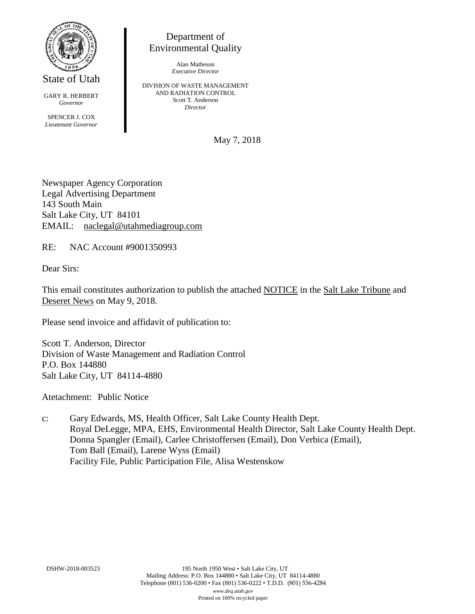

State of Utah

GARY R. HERBERT *Governor* SPENCER J. COX *Lieutenant Governor*

Department of Environmental Quality

> Alan Matheson *Executive Director*

DIVISION OF WASTE MANAGEMENT AND RADIATION CONTROL Scott T. Anderson *Director*

May 7, 2018

Newspaper Agency Corporation Legal Advertising Department 143 South Main Salt Lake City, UT 84101 EMAIL: naclegal@utahmediagroup.com

RE: NAC Account #9001350993

Dear Sirs:

This email constitutes authorization to publish the attached NOTICE in the Salt Lake Tribune and Deseret News on May 9, 2018.

Please send invoice and affidavit of publication to:

Scott T. Anderson, Director Division of Waste Management and Radiation Control P.O. Box 144880 Salt Lake City, UT 84114-4880

Atetachment: Public Notice

c: Gary Edwards, MS, Health Officer, Salt Lake County Health Dept. Royal DeLegge, MPA, EHS, Environmental Health Director, Salt Lake County Health Dept. Donna Spangler (Email), Carlee Christoffersen (Email), Don Verbica (Email), Tom Ball (Email), Larene Wyss (Email) Facility File, Public Participation File, Alisa Westenskow